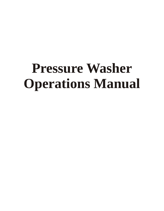# **Pressure Washer Operations Manual**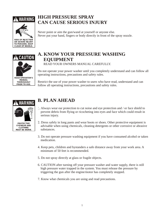



**CLEAR OF NOZZLE.**

### **HIGH PRESSURE SPRAY CAN CAUSE SERIOUS INJURY**

Never point or aim the gun/wand at yourself or anyone else. Never put your hand, fingers or body directly in front of the spray nozzle.



### **A. KNOW YOUR PRESSURE WASHING EQUIPMENT** READ YOUR OWNERS MANUAL CAREFULLY.

Do not operate your power washer until you completely understand and can follow all operating instructions, precautions and safety rules.

Restrict the use of your power washer to users who have read, understand and can follow all operating instructions, precautions and safety rules.



## **B. PLAN AHEAD**

- 1. Always wear ear protection to cut noise and eye protection and / or face shield to prevent debris from flying or ricocheting into eyes and face which could result in serious injury.
- 2. Dress safely in long pants and wear boots or shoes. Other protective equipment is advisable when using chemicals, cleaning detergents or other corrosive or abrasive substances.
- 3. Do not operate pressure washing equipment if you have consumed alcohol or taken medication.
- 4. Keep pets, children and bystanders a safe distance away from your work area. A minimum of 50 feet is recommended.
- 5. Do not spray directly at glass or fragile objects.
- 6. CAUTION after turning off your pressure washer and water supply, there is still high pressure water trapped in the system. You must release the pressure by triggering the gun after the engine/motor has completely stopped.
- 7. Know what chemicals you are using and read precautions.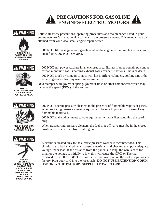



Follow all safety precautions, operating procedures and maintenance listed in your engine operator's manual which came with the pressure cleaner. This manual may be attained from your local small engine repair center.

**DO NOT** fill the engine with gasoline when the engine is running, hot or near an open flame. **DO NOT SMOKE**.





**RISK OF ASPHYXIATION. USE ONLY IN A WELL VENTILATED AREA.**



**DO NOT** run power washers in an enclosed area. Exhaust fumes contain poisonous carbon monoxide gas. Breathing exhaust gases can cause serious illness or death.

**DO NOT** touch or come in contact with hot mufflers, cylinders, cooling fins or hot exhaust gases as this may result in severe burns.

Never tamper with governor spring, governor links or other components which may increase the speed (RPM) of the engine.

**DO NOT** operate pressure cleaners in the presence of flammable vapors or gases. When servicing pressure cleaning equipment, be sure to properly dispose of any flammable materials.

**DO NOT** make adjustments to your equipment without first removing the spark plug.

When transporting pressure cleaners, the fuel shut-off valve must be in the closed position, to prevent fuel from spilling out.



A circuit dedicated only to the electric pressure washer is recommended. This circuit should be installed by a licensed electrician and checked to supply adequate voltage under load. If the distance from the panel is to long, the wire size is too small or the voltage is initially to low, this will cause the GFCI or Thermal overload to trip. If the GFCI trips or the thermal overload on the motor trips consult factory. Plug your cord into the receptacle. **DO NOT USE EXTENSION CORD! USE ONLY THE FACTORY SUPPLIED POWERCORD**.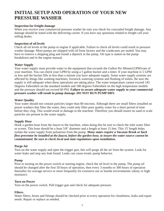### **INITIAL SETUP AND OPERATION OF YOUR NEW PRESSURE WASHER**

#### **Inspection for freight damage**

When you receive your commercial pressure washer be sure you check for concealed freight damage. Any damage should be noted with the delivering carrier. If you have any questions related to freight call your selling dealer.

### **Inspection of oil levels**

Check all oil levels in the pump or engine if applicable. Failure to check all levels could result in pressure washer damage. Most pumps are shipped with oil from factory and the crankcases are sealed. You may have to remove a shipping plug and install a dipstick in the pump. Oil type is stated on the pump breakdown and in the engine manual.

### **Water Supply**

Your water supply must provide water to the equipment that exceeds the Gallon Per Minute{GPM}rate of your machine. You can check your GPM by using a 5 gallon bucket and a timer. If your machine is 5 GPM or less and the bucket fills in less than a minute you have adequate supply. Some water supply systems are affected by things like washing machines, livestock watering systems and flushing of toilets. Be sure the supply is still adequate when these operations are taking place. The water temperature cannot exceed 145 Degrees Fahrenheit on the standard models and 180 degrees Fahrenheit on the high temperature models and the pressure should not exceed 60 PSI. **Failure to secure adequate water supply to your commercial pressure washer will result in pump damage. DO NOT RUN PUMP DRY.**

### **Water Quality**

Your water should not contain particles larger than 80 microns. Although there are small filters installed on power washers that filter the water, they could only filter poor quality water for a short period of time before they clog. This would result in damage to the machine. Therefore you should insure no sand or scale particles are present in the water supply.

### **Supply Hose**

Hook a garden hose from the faucet to the machine, when doing this be sure to check the inlet water filter or screen. This hose should be a least 5/8" diameter and a length at least 15 feet. This 15' length helps isolate the water supply from pulsations from the pump. *Many states require a Vacuum Break or back flow preventor be installed at the faucet, before the garden hose, to insure the water source cannot be contaminated. Be sure to check local and state regulations upon installation.*

#### **Purge Air**

Turn on the water supply and open the trigger gun, this will purge all the air from the system. Look for water leaks and stop any leak found. Leaks can cause erratic pump behavior.

### **Pump**

Prior to turning on the power switch or starting engine, check the oil level in the pump. The pump oil should be changed after the first 50 hours of operation, then every 3 months or 300 hours of operation thereafter for average service or more frequently for extensive use or hostile environments {dusty or high moisture}.

#### **Turn on Power**

Turn on the power switch. Pull trigger gun and check for adequate pressure.

### **Filters**

Water filters, hoses and fittings should be checked prior to every operation for cleanliness, leaks and repair needs. Repair or replace as needed.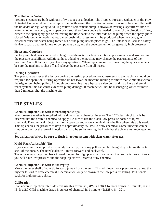### **The Unloader Valve**

Pressure cleaners are built with one of two types of unloaders: The Trapped Pressure Unloader or the Flow Actuated Unloader. After the pump is filled with water, the direction of water flow must be controlled with the unloader or regulating valve. A positive displacement pump is always delivering a specific volume of water whether the spray gun is open or closed; therefore a device is needed to control the direction of flow, either to the open spray gun or redirecting the flow back to the inlet side of the pump when the spray gun is closed. Without an unloader valve, dangerously high pressure will be produced when the spray gun is closed because the water being forced out of the pump has no place to go. The unloader is used as a safety device to guard against failure of component parts, and the development of dangerously high pressures.

#### **Hoses and Couplers**

Factory supplied hoses are sized in length and diameter for best operational performance and size within the pressure capabilities. Additional hose added to the machine may change the performance of the machine. Consult factory if you have any questions. When replacing or disconnecting the quick couplers be sure the machine is shut off and relieve the pressure from all hoses.

### **During Operation**

The pressure was set at the factory during the testing procedure, no adjustments to the machine should be required for operation. During operation do not leave the machine running for more than 2 minutes without the trigger gun being pulled. Although your machine has a by-pass valve on it and may have a thermal relief system, this can cause extensive pump damage. If machine will not be discharging water for more than 2 minutes, shut the machine off.

### **TIP STYLES**

#### **Chemical injector use with interchangeable tips**

Your pressure washer is supplied with a downstream chemical injector. The 1/4" clear vinyl tube is be inserted into the desired chemical to apply. Be sure to use the black, low pressure nozzle to inject chemical. The chemical injector will only open up and allow chemical into the line when this tip is used. This tip enables the pressure to drop to approximately 250 PSI to draw chemical. Some injectors can be shut on and off or the rate of injection can also be set by turning the knob that the clear vinyl tube attaches to.

See calibration below. **Be sure to flush injection system with clear water after use.**

### **Multi-Reg (Adjustable) Tip**

If your machine is supplied with an adjustable tip, the spray pattern can be changed by rotating the outer shell of the nozzle. The nozzle also will move forward and backward.

The nozzle must be pulled back toward the gun for high pressure rinse. When the nozzle is moved forward you will have low pressure and the soap injector will start to draw chemical.

#### **Chemical injector use with multi-reg tip**

Move the outer shell of your tip forward (away from the gun). This will lower your pressure and allow the injector to start to draw chemical. Chemical will only be drawn in the low pressure setting. Pull nozzle back for high pressure rinse.

#### **Calibration**

If an accurate injection rate is desired, use this formula: (GPM  $x$  128)  $\div$  (ounces drawn in 1 minute) = x:1 IE: If a 2.0 GPM machine draws 8 ounces of chemical in 1 minute:  $(2x128) / 8 = 32:1$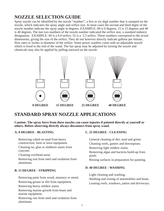## **NOZZLE SELECTION GUIDE**

Spray nozzle can be identified by the nozzle "number", a five or six digit number that is stamped on the nozzle, which indicates the spray angle and orifice size. In most cases the second and third digits of the nozzle number indicate the spray angle in degrees. EXAMPLE: 00 is 0 degrees, 15 is 15 degrees and 40 is 40 degrees. The last two numbers of the nozzle number indicated the orifice size, a standard industry designation. EXAMPLE: 60 is a 6.0 orifice, 55 is a 5.5 orifice. These numbers correspond to the actual dimensions, giving the size of the orifice. They do not however directly indicate gallons per minute, flow rates or inches in diameter of the orifice. Some power washers come with an adjustable nozzle which is fixed to the end of the wand. The fan spray may be adjusted by turning the nozzle and chemicals may also be applied by pulling outward on the nozzle.



### **STANDARD SPRAY NOZZLE APPLICATIONS**

**Caution: The spray force from these nozzles can cause injuries if pointed directly at yourself or others. Before observing directly always disconnect from spray wand.**

Cleaning tar, glue or stubborn stains from Removing light mildew stains.<br>
Concrete

Cleaning overhead areas. pools.

Removing rust from steel and oxidation from Rinsing surfaces in preparation for painting. aluminum.

### **B. 15 DEGREE - STRIPPING**

Removing paint from wood, masonry or metal.<br>
Washing and rinsing of automobiles and boats.<br>
Leaving goods windows geting and divergence

Removing heavy mildew stains.

Removing marine growth from boats and marine equipment.

Removing rust from steel and oxidation from aluminum.

### **A. 0 DEGREE - BLASTING C. 25 DEGREE - CLEANING**

Removing caked on mud from heavy General cleaning of dirt, mud and grime. construction, farm or lawn equipment. Cleaning roofs, gutters and downspouts. Removing algae and bacteria build-up from

### **D. 40 DEGREE - WASHING**

Light cleaning and washing.

Leaning roofs, windows, patios and driveways.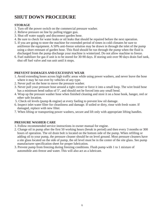### **SHUT DOWN PROCEDURE**

### **STORAGE**

- 1. Turn off the power switch on the commercial pressure washer.
- 2. Relieve pressure on line by pulling trigger gun.
- 3. Shut off water supply and disconnect garden hose.
- 4. Be sure to check for water leaks or oil leaks that should be repaired before the next operation.
- 5. If you are going to store the machine for extended period of times in cold climates be sure to antifreeze the equipment. A 50% anti-freeze solution may be drawn in through the inlet of the pump using a short remnant of garden hose. This fluid should be run through the pump when the fluid is discharged from the pump discharge your machine is winterized. Do not allow machine to freeze.
- 6. Fuel stabilizer for gas if unit is to be stored for 30-90 days. If storing unit over 90 days drain fuel tank, shut off fuel valve and run unit until it stops.

### **PREVENT DAMAGES AND EXCESSIVE WEAR**

- 1. Avoid extending hoses across high traffic areas while using power washers, and never leave the hose where it may be run over by vehicles of any type.
- 2. Never pull on the hose to move the pressure washer.
- 3. Never pull your pressure hose around a tight corner or force it into a small loop. The wire braid hose has a minimum bend radius of 5", and should not be forced into any small bend.
- 4. Wrap up the pressure washer hose when finished cleaning and store it on a hose hook, hanger, reel or other safe location.
- 5. Check oil levels (pump & engine) at every fueling to prevent low oil damage.
- 6. Inspect inlet water filter for cleanliness and damage. If soiled or dirty, rinse with fresh water. If damaged, replace with new filter.
- 7. When lifting or transporting power washers, secure and lift only with appropriate lifting handles.

### **PRESSURE WASHER CARE**

- 1. Follow recommended service instructions in owner manual for engine.
- 2. Change oil in pump after the first 50 working hours (break in period) and then every 3 months or 300 hours of operation. The oil drain bolt is located on the bottom side of the pump. When refilling or adding oil to your pump, the pressure cleaner should be on level ground. Most pressure cleaners have a site glass located on the side of pump, the oil level must be in the center of the site glass. See pump manufacturer specification sheet for proper lubrication.
- 3. Prevent pump from freezing during freezing conditions. Flush pump with 1 to 1 mixture of automobile anti-freeze and water. This will also act as a lubricant.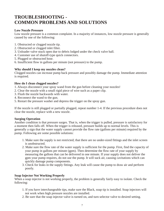### **TROUBLESHOOTING - COMMON PROBLEMS AND SOLUTIONS**

### **Low Nozzle Pressure**

Low nozzle pressure is a common complaint. In a majority of instances, low nozzle pressure is generally caused by one of the following:

- 1. Obstructed or clogged nozzle tip.
- 2. Obstructed or clogged inlet filter.
- 3. Unloader valve stuck open due to debris lodged under the check valve ball.
- 4. Customer use of shutoff-type quick connectors.
- 5. Plugged or obstructed hose.
- 6. Insufficient flow in gallons per minute (not pressure) to the pump.

### **Why should I keep my nozzles clean?**

Clogged nozzles can increase pump back pressure and possibly damage the pump. Immediate attention is required.

### **How do I clean clogged nozzles?**

- 1. Always disconnect your spray wand from the gun before cleaning your nozzles!
- 2. Clear the nozzle with a small rigid piece of wire such as a paper clip.
- 3. Flush the nozzle backwards with water.
- 4. Reconnect the wand to the gun.
- 5. Restart the pressure washer and depress the trigger on the spray gun.

If the nozzle is still plugged or partially plugged, repeat number 1-4. If the previous procedure does not clear the nozzle, replace with a new nozzle.

### **Surging Operation**

Another condition is that pressure surges. That is, when the trigger is pulled, pressure is satisfactory for a moment then falls off. When the trigger is released, pressure builds up to normal levels. This is generally a sign that the water supply cannot provide the flow rate (gallons per minute) required by the pump. Following are some possible solutions:

- 1. Make sure the supply is not restricted; that there are no under-sized fittings and the inlet screen is unobstructed.
- 2. Make sure the flow rate of the water supply is sufficient for the pump. First, find the capacity of your pump in gallons per minute (gpm). Then determine the flow rate of your supply by measuring the gallons that can be delivered in one minute. If your supply does not deliver the gpm your pump requires, do not use the pump. It will suck air, causing cavitations which can quickly damage pump components.
- 3. Check for leaks in the supply fittings. Any leak will cause the pump to draw air and perform poorly.

### **Soap Injector Not Working Properly**

When a soap injector is not working properly, the problem is generally fairly easy to isolate. Check the following:

- 1. If you have interchangeable tips, make sure the Black, soap tip is installed. Soap injectors will not work when high pressure nozzles are installed.
- 2. Be sure that the soap injector valve is turned on, and turn selector valve to desired setting.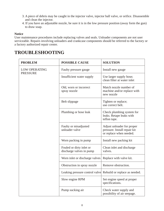- 3. A piece of debris may be caught in the injector valve, injector ball valve, or orifice. Disassemble and clean the injector.
- 4. If you have an adjustable nozzle, be sure it is in the low pressure position (away form the gun) to draw soap.

### **Notice**

User maintenance procedures include replacing valves and seals. Unloader components are not user serviceable. Repairs involving unloaders and crankcase components should be referred to the factory or a factory authorized repair center.

### **TROUBLESHOOTING**

| <b>PROBLEM</b>                          | <b>POSSIBLE CAUSE</b>                                        | <b>SOLUTION</b>                                                                       |  |
|-----------------------------------------|--------------------------------------------------------------|---------------------------------------------------------------------------------------|--|
| <b>LOW OPERATING</b><br><b>PRESSURE</b> | Faulty pressure gauge                                        | Install new gauge                                                                     |  |
|                                         | Insufficient water supply                                    | Use larger supply hose;<br>clean filter at water inlet                                |  |
|                                         | Old, worn or incorrect<br>spray nozzle                       | Match nozzle number of<br>machine and/or replace with<br>new nozzle                   |  |
|                                         | Belt slippage                                                | Tighten or replace;<br>use correct belt.                                              |  |
|                                         | Plumbing or hose leak                                        | Check plumbing system for<br>leaks. Retape leaks with<br>teflon tape.                 |  |
|                                         | Faulty or misadjusted<br>unloader valve                      | Adjust unloader for proper<br>pressure. Install repair kit<br>or replace when needed. |  |
|                                         | Worn packing in pump                                         | Install new packing kit                                                               |  |
|                                         | Fouled or dirty inlet or<br>discharge valves in pump         | Clean inlet and discharge<br>valves.                                                  |  |
|                                         | Worn inlet or discharge valves                               | Replace with valve kit.                                                               |  |
|                                         | Obstruction in spray nozzle                                  | Remove obstruction.                                                                   |  |
|                                         | Leaking pressure control valve Rebuild or replace as needed. |                                                                                       |  |
|                                         | Slow engine RPM                                              | Set engine speed at proper<br>specifications.                                         |  |
|                                         | Pump sucking air                                             | Check water supply and<br>possibility of air seepage.                                 |  |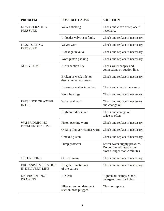| <b>PROBLEM</b>                                 | <b>POSSIBLE CAUSE</b>                                                     | <b>SOLUTION</b>                                                                            |  |  |
|------------------------------------------------|---------------------------------------------------------------------------|--------------------------------------------------------------------------------------------|--|--|
| <b>LOW OPERATING</b><br><b>PRESSURE</b>        | Valves sticking                                                           | Check and clean or replace if<br>necessary.                                                |  |  |
|                                                | Unloader valve seat faulty                                                | Check and replace if necessary.                                                            |  |  |
| <b>FLUCTUATING</b><br><b>PRESSURE</b>          | Valves worn                                                               | Check and replace if necessary.                                                            |  |  |
|                                                | Blockage in valve                                                         | Check and replace if necessary.                                                            |  |  |
|                                                | Worn piston packing                                                       | Check and replace if necessary.                                                            |  |  |
| <b>NOISY PUMP</b>                              | Air in suction line                                                       | Check water supply and<br>connections on suction line.                                     |  |  |
|                                                | Broken or weak inlet or<br>discharge valve springs                        | Check and replace if necessary.                                                            |  |  |
|                                                | Excessive matter in valves                                                | Check and clean if necessary.                                                              |  |  |
|                                                | Worn bearings                                                             | Check and replace if necessary.                                                            |  |  |
| PRESENCE OF WATER<br><b>IN OIL</b>             | Water seal worn                                                           | Check and replace if necessary<br>and change oil.                                          |  |  |
|                                                | High humidity in air                                                      | Check and change oil<br>twice as often.                                                    |  |  |
| <b>WATER DRIPPING</b>                          | Piston packing worn                                                       | Check and replace if necessary.                                                            |  |  |
| FROM UNDER PUMP                                | O-Ring plunger retainer worn                                              | Check and replace if necessary.                                                            |  |  |
|                                                | Cracked piston                                                            | Check and replace if necessary.                                                            |  |  |
|                                                | Pump protector                                                            | Lower water supply pressure.<br>Do not run with spray gun<br>closed longer than 2 minutes. |  |  |
| <b>OIL DRIPPING</b>                            | Oil seal worn                                                             | Check and replace if necessary.                                                            |  |  |
| <b>EXCESSIVE VIBRATION</b><br>IN DELIVERY LINE | Check and replace if necessary.<br>Irregular functioning<br>of the valves |                                                                                            |  |  |
| DETERGENT NOT<br><b>DRAWING</b>                | Air leak                                                                  | Tighten all clamps. Check<br>detergent lines for holes.                                    |  |  |
|                                                | Filter screen on detergent<br>suction hose plugged                        | Clean or replace.                                                                          |  |  |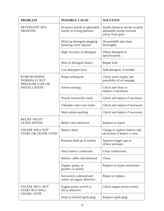| <b>PROBLEM</b>                                                                       | <b>POSSIBLE CAUSE</b>                                       | <b>SOLUTION</b>                                                                  |  |  |
|--------------------------------------------------------------------------------------|-------------------------------------------------------------|----------------------------------------------------------------------------------|--|--|
| <b>DETERGENT NOT</b><br><b>DRAWING</b>                                               | Incorrect nozzle or adjustable<br>nozzle in wrong position. | Install chemical nozzle or push<br>adjustable nozzle forward<br>(away from gun). |  |  |
|                                                                                      | Dried up detergent plugging<br>metering valve injector      | Disassemble and clean<br>thoroughly.                                             |  |  |
|                                                                                      | High viscosity of detergent                                 | Dilute detergent to<br>specifications.                                           |  |  |
|                                                                                      | Hole in detergent line(s)                                   | Repair hole.                                                                     |  |  |
|                                                                                      | Low detergent level                                         | Add detergent, if needed.                                                        |  |  |
| <b>PUMP RUNNING</b><br><b>NORMALLY BUT</b><br>PRESSURE LOW ON<br><b>INSTALLATION</b> | Pump sucking air                                            | Check water supply and<br>possibility of air seepage.                            |  |  |
|                                                                                      | Valves sticking                                             | Check and clean or<br>replace if necessary.                                      |  |  |
|                                                                                      | Nozzle incorrectly sized                                    | Check and replace if necessary                                                   |  |  |
|                                                                                      | Unloader valve seat faulty                                  | Check and replace if necessary.                                                  |  |  |
|                                                                                      | Worn piston packing                                         | Check and replace if necessary.                                                  |  |  |
| <b>RELIEF VALVE</b><br><b>LEAKS WATER</b>                                            | Relief valve defective                                      | Replace or repair.                                                               |  |  |
| <b>ENGINE WILL NOT</b><br><b>START OR CRANK OVER</b>                                 | Battery dead.                                               | Charge or replace battery, add<br>electrolyte if battery is new.                 |  |  |
|                                                                                      | Pressure built up in system                                 | Squeeze trigger gun to<br>relieve pressure.                                      |  |  |
|                                                                                      | Dirty battery connection                                    | Clean connections.                                                               |  |  |
|                                                                                      | Battery cables disconnected                                 | Clean.                                                                           |  |  |
|                                                                                      | Engine, pump, or<br>gearbox is seized                       | Replace or repair seized part.                                                   |  |  |
|                                                                                      | Keyswitch, solenoid and<br>starter on engine defective      | Repair or replace.                                                               |  |  |
| <b>ENGINE WILL NOT</b><br><b>START BUT WILL</b>                                      | Engine power switch is<br>off or defective                  | Check engine power switch.                                                       |  |  |
| <b>CRANK OVER</b>                                                                    | Dirty or fowled spark plug                                  | Replace spark plug.                                                              |  |  |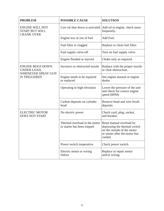| <b>PROBLEM</b>                                                                             | <b>POSSIBLE CAUSE</b>                                          | <b>SOLUTION</b>                                                                                                                       |  |  |
|--------------------------------------------------------------------------------------------|----------------------------------------------------------------|---------------------------------------------------------------------------------------------------------------------------------------|--|--|
| <b>ENGINE WILL NOT</b><br><b>START BUT WILL</b><br><b>CRANK OVER</b>                       | Low oil shut down is activated   Add oil to engine, check more | frequently.                                                                                                                           |  |  |
|                                                                                            | Engine low or out of fuel                                      | Add Fuel.                                                                                                                             |  |  |
|                                                                                            | Fuel filter is clogged                                         | Replace or clean fuel filter.                                                                                                         |  |  |
|                                                                                            | Fuel supply valve-off                                          | Turn on fuel supply valve.                                                                                                            |  |  |
|                                                                                            | Engine flooded or starved                                      | Choke only as required.                                                                                                               |  |  |
| <b>ENGINE BOGS DOWN</b><br><b>UNDER LOAD,</b><br>WHENEVER SPRAY GUN<br><b>IS TRIGGERED</b> | Incorrect or obstructed nozzle                                 | Replace with the proper nozzle<br>or clear obstruction.                                                                               |  |  |
|                                                                                            | Engine needs to be repaired<br>or replaced                     | See engine manual or engine<br>dealer.                                                                                                |  |  |
|                                                                                            | Operating in high elevation                                    | Lower the pressure of the unit<br>and check for correct engine<br>speed (RPM)                                                         |  |  |
|                                                                                            | Carbon deposits on cylinder<br>head                            | Remove head and wire brush<br>deposits.                                                                                               |  |  |
| <b>ELECTRIC MOTOR</b><br><b>DOES NOT START</b>                                             | No electric power                                              | Check cord, plug, socket,<br>and breaker.                                                                                             |  |  |
|                                                                                            | Thermal overload in the motor<br>or starter has been tripped   | Reset manual overload by<br>depressing the thermal switch<br>on the outside of the motor<br>or starter after the motor has<br>cooled. |  |  |
|                                                                                            | Power switch inoperative                                       | Check power switch.                                                                                                                   |  |  |
|                                                                                            | Electric motor or wiring<br>failure                            | Replace or repair motor<br>and/or wiring.                                                                                             |  |  |